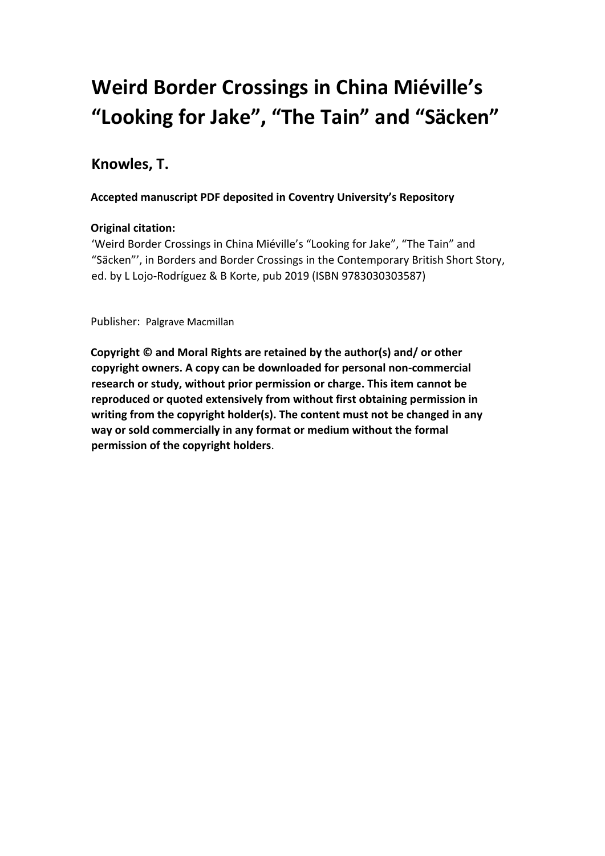# **Weird Border Crossings in China Miéville's "Looking for Jake", "The Tain" and "Säcken"**

# **Knowles, T.**

# **Accepted manuscript PDF deposited in Coventry University's Repository**

# **Original citation:**

'Weird Border Crossings in China Miéville's "Looking for Jake", "The Tain" and "Säcken"', in Borders and Border Crossings in the Contemporary British Short Story, ed. by L Lojo-Rodríguez & B Korte, pub 2019 (ISBN 9783030303587)

Publisher: Palgrave Macmillan

**Copyright © and Moral Rights are retained by the author(s) and/ or other copyright owners. A copy can be downloaded for personal non-commercial research or study, without prior permission or charge. This item cannot be reproduced or quoted extensively from without first obtaining permission in writing from the copyright holder(s). The content must not be changed in any way or sold commercially in any format or medium without the formal permission of the copyright holders**.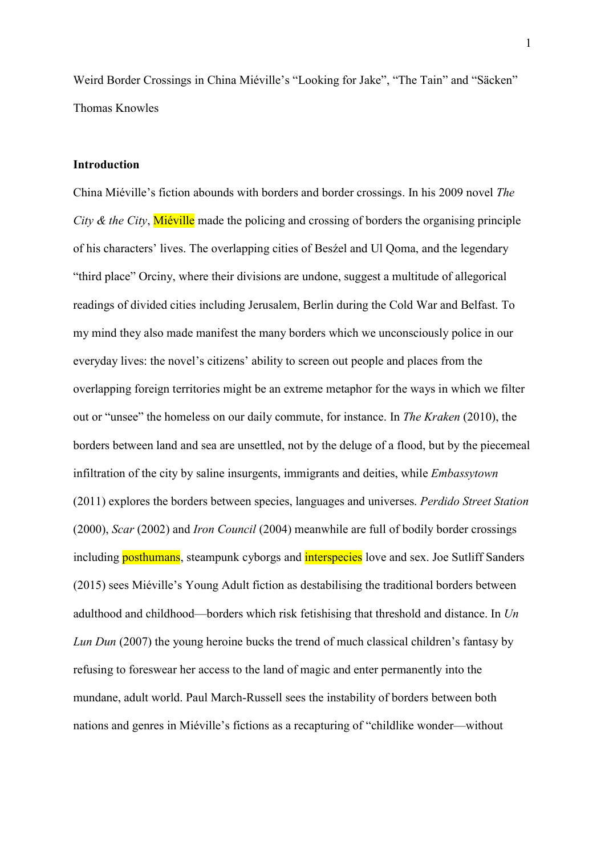Weird Border Crossings in China Miéville's "Looking for Jake", "The Tain" and "Säcken" Thomas Knowles

## Introduction

China Miéville's fiction abounds with borders and border crossings. In his 2009 novel The City & the City, Miéville made the policing and crossing of borders the organising principle of his characters' lives. The overlapping cities of Besźel and Ul Qoma, and the legendary "third place" Orciny, where their divisions are undone, suggest a multitude of allegorical readings of divided cities including Jerusalem, Berlin during the Cold War and Belfast. To my mind they also made manifest the many borders which we unconsciously police in our everyday lives: the novel's citizens' ability to screen out people and places from the overlapping foreign territories might be an extreme metaphor for the ways in which we filter out or "unsee" the homeless on our daily commute, for instance. In The Kraken (2010), the borders between land and sea are unsettled, not by the deluge of a flood, but by the piecemeal infiltration of the city by saline insurgents, immigrants and deities, while *Embassytown* (2011) explores the borders between species, languages and universes. Perdido Street Station (2000), Scar (2002) and Iron Council (2004) meanwhile are full of bodily border crossings including <mark>posthumans</mark>, steampunk cyborgs and <mark>interspecies</mark> love and sex. Joe Sutliff Sanders (2015) sees Miéville's Young Adult fiction as destabilising the traditional borders between adulthood and childhood—borders which risk fetishising that threshold and distance. In  $Un$ Lun Dun (2007) the young heroine bucks the trend of much classical children's fantasy by refusing to foreswear her access to the land of magic and enter permanently into the mundane, adult world. Paul March-Russell sees the instability of borders between both nations and genres in Miéville's fictions as a recapturing of "childlike wonder—without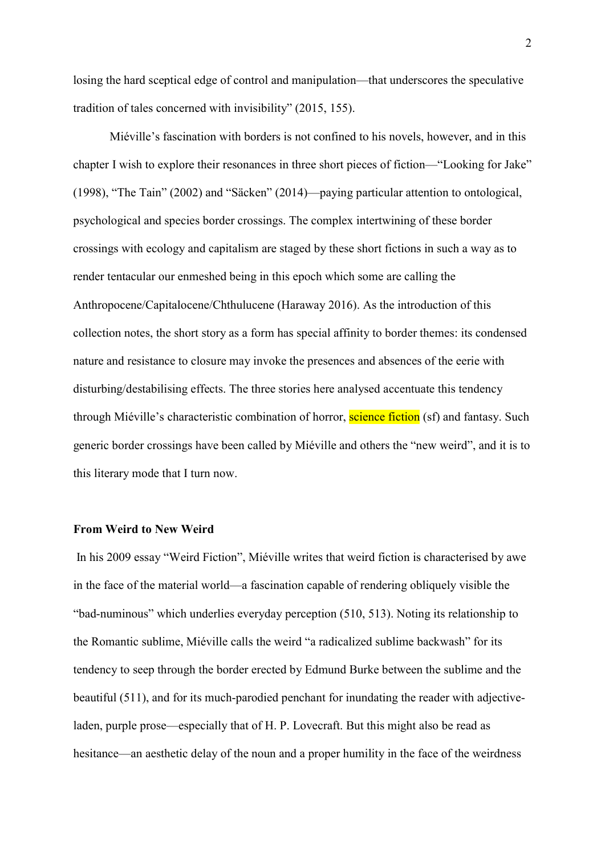losing the hard sceptical edge of control and manipulation—that underscores the speculative tradition of tales concerned with invisibility" (2015, 155).

 Miéville's fascination with borders is not confined to his novels, however, and in this chapter I wish to explore their resonances in three short pieces of fiction—"Looking for Jake" (1998), "The Tain" (2002) and "Säcken" (2014)—paying particular attention to ontological, psychological and species border crossings. The complex intertwining of these border crossings with ecology and capitalism are staged by these short fictions in such a way as to render tentacular our enmeshed being in this epoch which some are calling the Anthropocene/Capitalocene/Chthulucene (Haraway 2016). As the introduction of this collection notes, the short story as a form has special affinity to border themes: its condensed nature and resistance to closure may invoke the presences and absences of the eerie with disturbing/destabilising effects. The three stories here analysed accentuate this tendency through Miéville's characteristic combination of horror, <mark>science fiction</mark> (sf) and fantasy. Such generic border crossings have been called by Miéville and others the "new weird", and it is to this literary mode that I turn now.

#### From Weird to New Weird

 In his 2009 essay "Weird Fiction", Miéville writes that weird fiction is characterised by awe in the face of the material world—a fascination capable of rendering obliquely visible the "bad-numinous" which underlies everyday perception (510, 513). Noting its relationship to the Romantic sublime, Miéville calls the weird "a radicalized sublime backwash" for its tendency to seep through the border erected by Edmund Burke between the sublime and the beautiful (511), and for its much-parodied penchant for inundating the reader with adjective- laden, purple prose—especially that of H. P. Lovecraft. But this might also be read as hesitance—an aesthetic delay of the noun and a proper humility in the face of the weirdness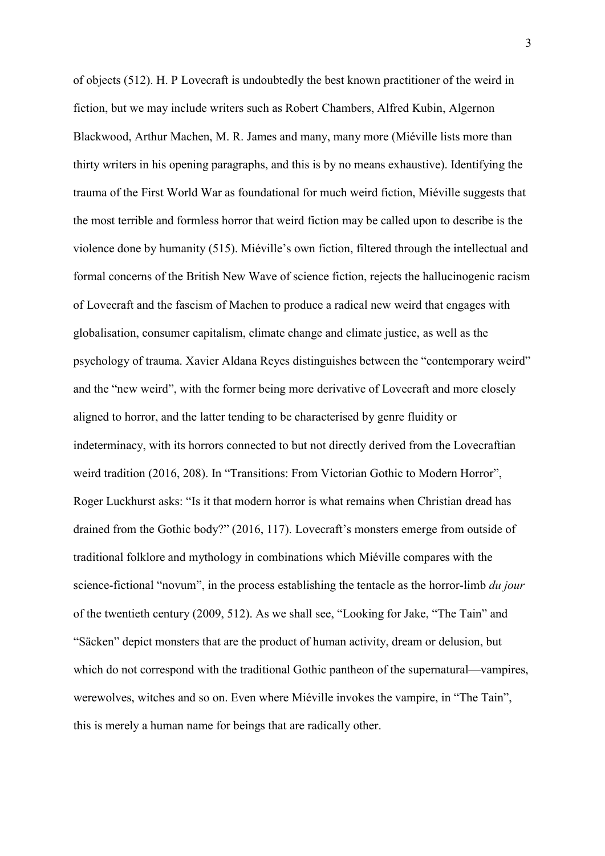of objects (512). H. P Lovecraft is undoubtedly the best known practitioner of the weird in fiction, but we may include writers such as Robert Chambers, Alfred Kubin, Algernon Blackwood, Arthur Machen, M. R. James and many, many more (Miéville lists more than thirty writers in his opening paragraphs, and this is by no means exhaustive). Identifying the trauma of the First World War as foundational for much weird fiction, Miéville suggests that the most terrible and formless horror that weird fiction may be called upon to describe is the violence done by humanity (515). Miéville's own fiction, filtered through the intellectual and formal concerns of the British New Wave of science fiction, rejects the hallucinogenic racism of Lovecraft and the fascism of Machen to produce a radical new weird that engages with globalisation, consumer capitalism, climate change and climate justice, as well as the psychology of trauma. Xavier Aldana Reyes distinguishes between the "contemporary weird" and the "new weird", with the former being more derivative of Lovecraft and more closely aligned to horror, and the latter tending to be characterised by genre fluidity or indeterminacy, with its horrors connected to but not directly derived from the Lovecraftian weird tradition (2016, 208). In "Transitions: From Victorian Gothic to Modern Horror", Roger Luckhurst asks: "Is it that modern horror is what remains when Christian dread has drained from the Gothic body?" (2016, 117). Lovecraft's monsters emerge from outside of traditional folklore and mythology in combinations which Miéville compares with the science-fictional "novum", in the process establishing the tentacle as the horror-limb du jour of the twentieth century (2009, 512). As we shall see, "Looking for Jake, "The Tain" and "Säcken" depict monsters that are the product of human activity, dream or delusion, but which do not correspond with the traditional Gothic pantheon of the supernatural—vampires, werewolves, witches and so on. Even where Miéville invokes the vampire, in "The Tain", this is merely a human name for beings that are radically other.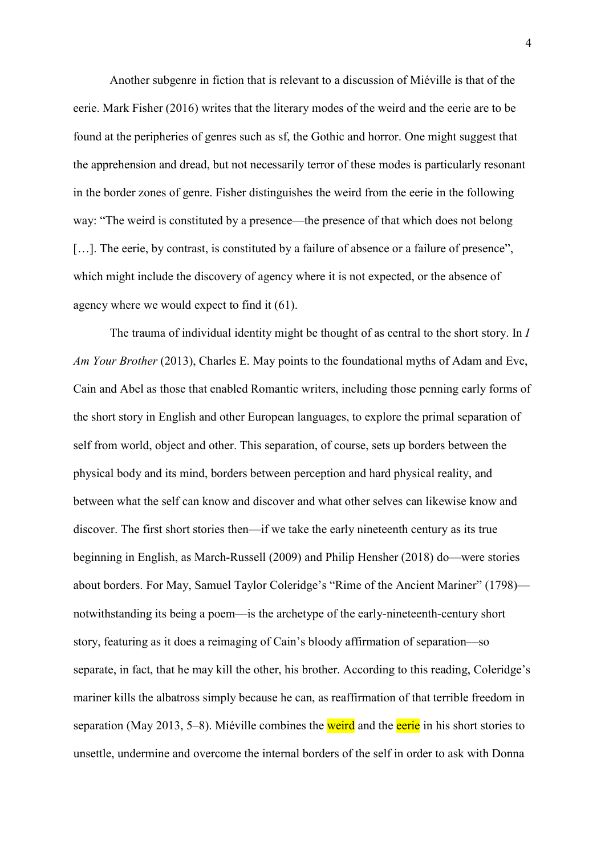Another subgenre in fiction that is relevant to a discussion of Miéville is that of the eerie. Mark Fisher (2016) writes that the literary modes of the weird and the eerie are to be found at the peripheries of genres such as sf, the Gothic and horror. One might suggest that the apprehension and dread, but not necessarily terror of these modes is particularly resonant in the border zones of genre. Fisher distinguishes the weird from the eerie in the following way: "The weird is constituted by a presence—the presence of that which does not belong [...]. The eerie, by contrast, is constituted by a failure of absence or a failure of presence", which might include the discovery of agency where it is not expected, or the absence of agency where we would expect to find it (61).

The trauma of individual identity might be thought of as central to the short story. In *l* Am Your Brother (2013), Charles E. May points to the foundational myths of Adam and Eve, Cain and Abel as those that enabled Romantic writers, including those penning early forms of the short story in English and other European languages, to explore the primal separation of self from world, object and other. This separation, of course, sets up borders between the physical body and its mind, borders between perception and hard physical reality, and between what the self can know and discover and what other selves can likewise know and discover. The first short stories then—if we take the early nineteenth century as its true beginning in English, as March-Russell (2009) and Philip Hensher (2018) do—were stories about borders. For May, Samuel Taylor Coleridge's "Rime of the Ancient Mariner" (1798)— notwithstanding its being a poem—is the archetype of the early-nineteenth-century short story, featuring as it does a reimaging of Cain's bloody affirmation of separation—so separate, in fact, that he may kill the other, his brother. According to this reading, Coleridge's mariner kills the albatross simply because he can, as reaffirmation of that terrible freedom in separation (May 2013, 5–8). Miéville combines the <mark>weird</mark> and the <mark>eerie</mark> in his short stories to unsettle, undermine and overcome the internal borders of the self in order to ask with Donna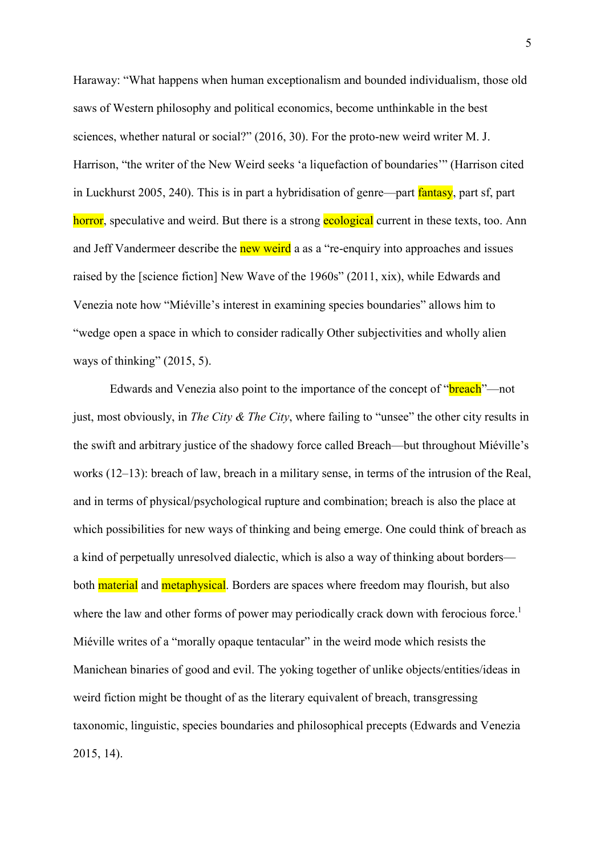Haraway: "What happens when human exceptionalism and bounded individualism, those old saws of Western philosophy and political economics, become unthinkable in the best sciences, whether natural or social?" (2016, 30). For the proto-new weird writer M. J. Harrison, "the writer of the New Weird seeks 'a liquefaction of boundaries'" (Harrison cited in Luckhurst 2005, 240). This is in part a hybridisation of genre—part fantasy, part sf, part horror, speculative and weird. But there is a strong **ecological** current in these texts, too. Ann and Jeff Vandermeer describe the **new weird** a as a "re-enquiry into approaches and issues raised by the [science fiction] New Wave of the 1960s" (2011, xix), while Edwards and Venezia note how "Miéville's interest in examining species boundaries" allows him to "wedge open a space in which to consider radically Other subjectivities and wholly alien ways of thinking" (2015, 5).

just, most obviously, in *The City & The City*, where failing to "unsee" the other city results in the swift and arbitrary justice of the shadowy force called Breach—but throughout Miéville's works (12–13): breach of law, breach in a military sense, in terms of the intrusion of the Real, and in terms of physical/psychological rupture and combination; breach is also the place at which possibilities for new ways of thinking and being emerge. One could think of breach as a kind of perpetually unresolved dialectic, which is also a way of thinking about borders both <mark>material</mark> and <mark>metaphysical</mark>. Borders are spaces where freedom may flourish, but also where the law and other forms of power may periodically crack down with ferocious force.<sup>1</sup> Miéville writes of a "morally opaque tentacular" in the weird mode which resists the Manichean binaries of good and evil. The yoking together of unlike objects/entities/ideas in weird fiction might be thought of as the literary equivalent of breach, transgressing taxonomic, linguistic, species boundaries and philosophical precepts (Edwards and Venezia Edwards and Venezia also point to the importance of the concept of "**breach**"—not 2015, 14).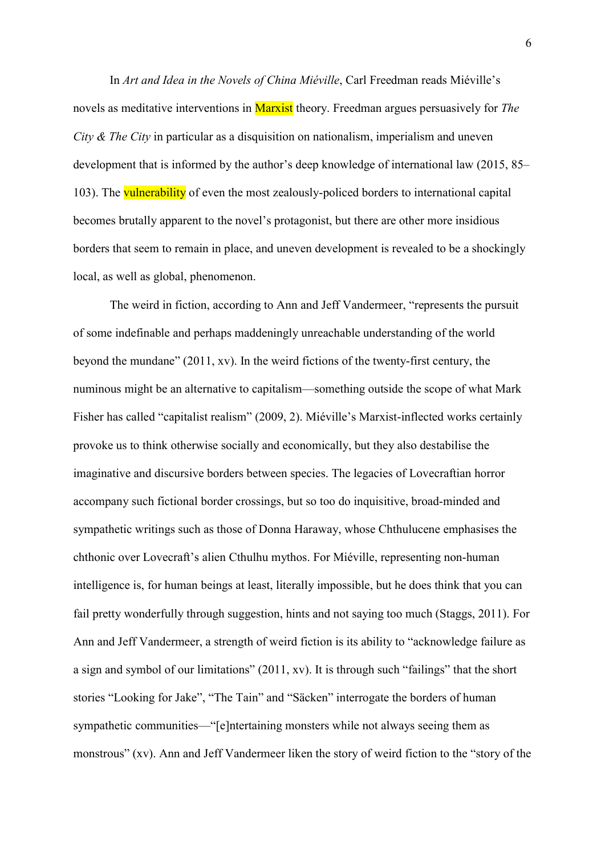In Art and Idea in the Novels of China Miéville, Carl Freedman reads Miéville's novels as meditative interventions in <mark>Marxist</mark> theory. Freedman argues persuasively for *The* City  $\&$  The City in particular as a disquisition on nationalism, imperialism and uneven development that is informed by the author's deep knowledge of international law (2015, 85– 103). The vulnerability of even the most zealously-policed borders to international capital becomes brutally apparent to the novel's protagonist, but there are other more insidious borders that seem to remain in place, and uneven development is revealed to be a shockingly local, as well as global, phenomenon.

 The weird in fiction, according to Ann and Jeff Vandermeer, "represents the pursuit of some indefinable and perhaps maddeningly unreachable understanding of the world beyond the mundane" (2011, xv). In the weird fictions of the twenty-first century, the numinous might be an alternative to capitalism—something outside the scope of what Mark Fisher has called "capitalist realism" (2009, 2). Miéville's Marxist-inflected works certainly provoke us to think otherwise socially and economically, but they also destabilise the imaginative and discursive borders between species. The legacies of Lovecraftian horror accompany such fictional border crossings, but so too do inquisitive, broad-minded and sympathetic writings such as those of Donna Haraway, whose Chthulucene emphasises the chthonic over Lovecraft's alien Cthulhu mythos. For Miéville, representing non-human intelligence is, for human beings at least, literally impossible, but he does think that you can fail pretty wonderfully through suggestion, hints and not saying too much (Staggs, 2011). For Ann and Jeff Vandermeer, a strength of weird fiction is its ability to "acknowledge failure as a sign and symbol of our limitations" (2011, xv). It is through such "failings" that the short stories "Looking for Jake", "The Tain" and "Säcken" interrogate the borders of human sympathetic communities—"[e]ntertaining monsters while not always seeing them as monstrous" (xv). Ann and Jeff Vandermeer liken the story of weird fiction to the "story of the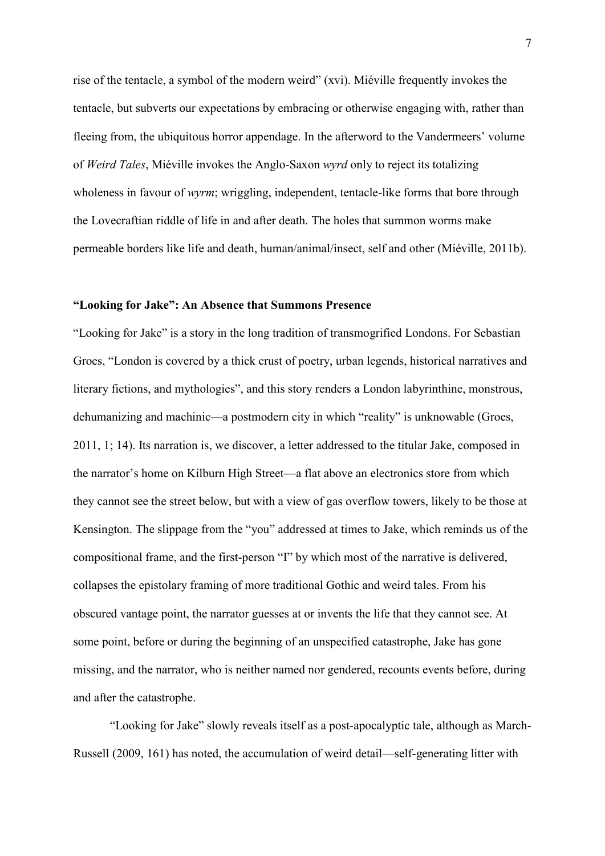rise of the tentacle, a symbol of the modern weird" (xvi). Miéville frequently invokes the tentacle, but subverts our expectations by embracing or otherwise engaging with, rather than fleeing from, the ubiquitous horror appendage. In the afterword to the Vandermeers' volume of Weird Tales, Miéville invokes the Anglo-Saxon wyrd only to reject its totalizing wholeness in favour of wyrm; wriggling, independent, tentacle-like forms that bore through the Lovecraftian riddle of life in and after death. The holes that summon worms make permeable borders like life and death, human/animal/insect, self and other (Miéville, 2011b).

#### "Looking for Jake": An Absence that Summons Presence

 "Looking for Jake" is a story in the long tradition of transmogrified Londons. For Sebastian Groes, "London is covered by a thick crust of poetry, urban legends, historical narratives and literary fictions, and mythologies", and this story renders a London labyrinthine, monstrous, dehumanizing and machinic—a postmodern city in which "reality" is unknowable (Groes, 2011, 1; 14). Its narration is, we discover, a letter addressed to the titular Jake, composed in the narrator's home on Kilburn High Street—a flat above an electronics store from which they cannot see the street below, but with a view of gas overflow towers, likely to be those at Kensington. The slippage from the "you" addressed at times to Jake, which reminds us of the compositional frame, and the first-person "I" by which most of the narrative is delivered, collapses the epistolary framing of more traditional Gothic and weird tales. From his obscured vantage point, the narrator guesses at or invents the life that they cannot see. At some point, before or during the beginning of an unspecified catastrophe, Jake has gone missing, and the narrator, who is neither named nor gendered, recounts events before, during and after the catastrophe.

 "Looking for Jake" slowly reveals itself as a post-apocalyptic tale, although as March-Russell (2009, 161) has noted, the accumulation of weird detail—self-generating litter with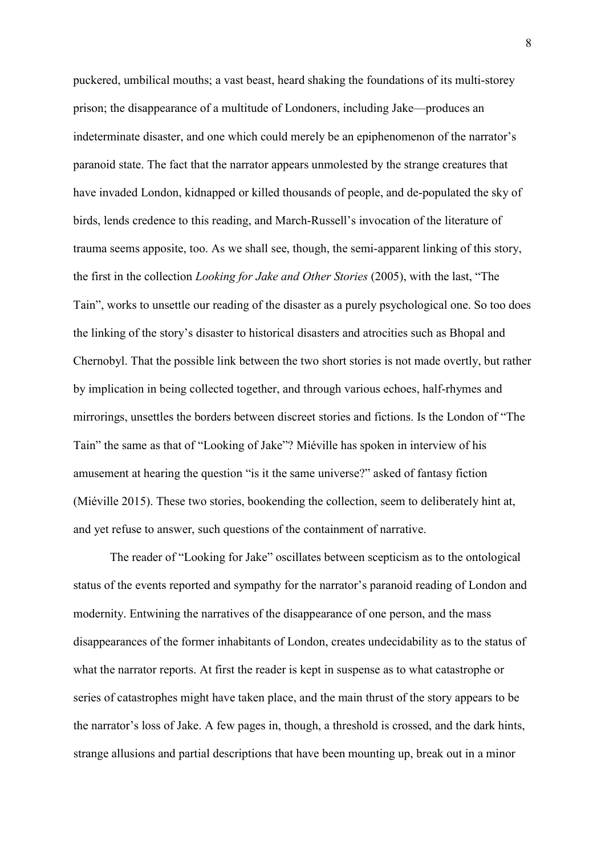puckered, umbilical mouths; a vast beast, heard shaking the foundations of its multi-storey prison; the disappearance of a multitude of Londoners, including Jake—produces an indeterminate disaster, and one which could merely be an epiphenomenon of the narrator's paranoid state. The fact that the narrator appears unmolested by the strange creatures that have invaded London, kidnapped or killed thousands of people, and de-populated the sky of birds, lends credence to this reading, and March-Russell's invocation of the literature of trauma seems apposite, too. As we shall see, though, the semi-apparent linking of this story, the first in the collection *Looking for Jake and Other Stories* (2005), with the last, "The Tain", works to unsettle our reading of the disaster as a purely psychological one. So too does the linking of the story's disaster to historical disasters and atrocities such as Bhopal and Chernobyl. That the possible link between the two short stories is not made overtly, but rather by implication in being collected together, and through various echoes, half-rhymes and mirrorings, unsettles the borders between discreet stories and fictions. Is the London of "The Tain" the same as that of "Looking of Jake"? Miéville has spoken in interview of his amusement at hearing the question "is it the same universe?" asked of fantasy fiction (Miéville 2015). These two stories, bookending the collection, seem to deliberately hint at, and yet refuse to answer, such questions of the containment of narrative.

 The reader of "Looking for Jake" oscillates between scepticism as to the ontological status of the events reported and sympathy for the narrator's paranoid reading of London and modernity. Entwining the narratives of the disappearance of one person, and the mass disappearances of the former inhabitants of London, creates undecidability as to the status of what the narrator reports. At first the reader is kept in suspense as to what catastrophe or series of catastrophes might have taken place, and the main thrust of the story appears to be the narrator's loss of Jake. A few pages in, though, a threshold is crossed, and the dark hints, strange allusions and partial descriptions that have been mounting up, break out in a minor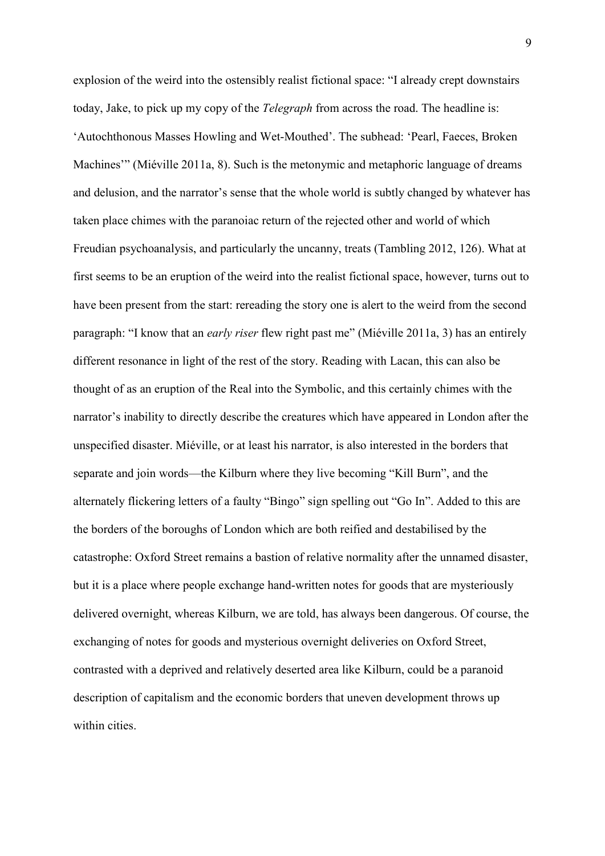explosion of the weird into the ostensibly realist fictional space: "I already crept downstairs today, Jake, to pick up my copy of the *Telegraph* from across the road. The headline is: 'Autochthonous Masses Howling and Wet-Mouthed'. The subhead: 'Pearl, Faeces, Broken Machines'" (Miéville 2011a, 8). Such is the metonymic and metaphoric language of dreams and delusion, and the narrator's sense that the whole world is subtly changed by whatever has taken place chimes with the paranoiac return of the rejected other and world of which Freudian psychoanalysis, and particularly the uncanny, treats (Tambling 2012, 126). What at first seems to be an eruption of the weird into the realist fictional space, however, turns out to have been present from the start: rereading the story one is alert to the weird from the second paragraph: "I know that an *early riser* flew right past me" (Miéville 2011a, 3) has an entirely different resonance in light of the rest of the story. Reading with Lacan, this can also be thought of as an eruption of the Real into the Symbolic, and this certainly chimes with the narrator's inability to directly describe the creatures which have appeared in London after the unspecified disaster. Miéville, or at least his narrator, is also interested in the borders that separate and join words—the Kilburn where they live becoming "Kill Burn", and the alternately flickering letters of a faulty "Bingo" sign spelling out "Go In". Added to this are the borders of the boroughs of London which are both reified and destabilised by the catastrophe: Oxford Street remains a bastion of relative normality after the unnamed disaster, but it is a place where people exchange hand-written notes for goods that are mysteriously delivered overnight, whereas Kilburn, we are told, has always been dangerous. Of course, the exchanging of notes for goods and mysterious overnight deliveries on Oxford Street, contrasted with a deprived and relatively deserted area like Kilburn, could be a paranoid description of capitalism and the economic borders that uneven development throws up within cities.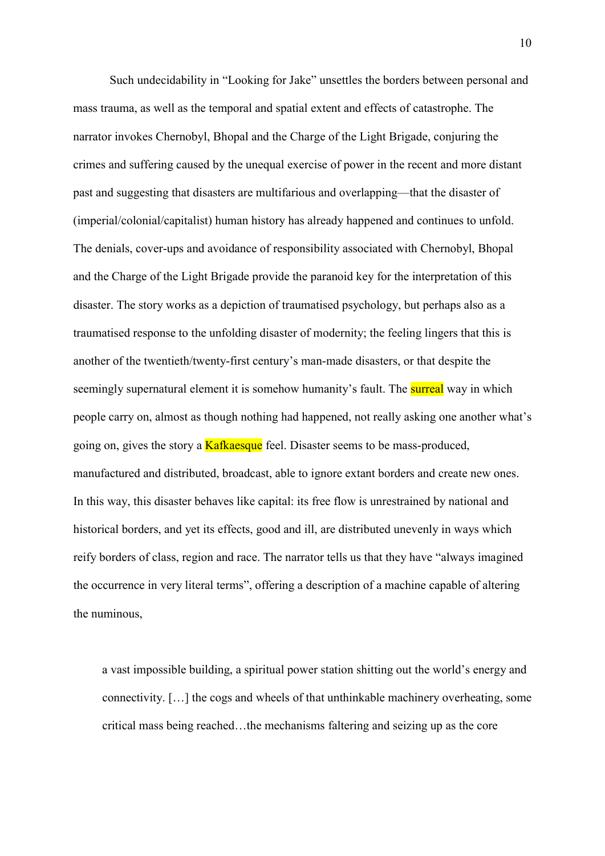Such undecidability in "Looking for Jake" unsettles the borders between personal and mass trauma, as well as the temporal and spatial extent and effects of catastrophe. The narrator invokes Chernobyl, Bhopal and the Charge of the Light Brigade, conjuring the crimes and suffering caused by the unequal exercise of power in the recent and more distant past and suggesting that disasters are multifarious and overlapping—that the disaster of (imperial/colonial/capitalist) human history has already happened and continues to unfold. The denials, cover-ups and avoidance of responsibility associated with Chernobyl, Bhopal and the Charge of the Light Brigade provide the paranoid key for the interpretation of this disaster. The story works as a depiction of traumatised psychology, but perhaps also as a traumatised response to the unfolding disaster of modernity; the feeling lingers that this is another of the twentieth/twenty-first century's man-made disasters, or that despite the seemingly supernatural element it is somehow humanity's fault. The <mark>surreal</mark> way in which people carry on, almost as though nothing had happened, not really asking one another what's going on, gives the story a **Kafkaesque** feel. Disaster seems to be mass-produced, manufactured and distributed, broadcast, able to ignore extant borders and create new ones. In this way, this disaster behaves like capital: its free flow is unrestrained by national and historical borders, and yet its effects, good and ill, are distributed unevenly in ways which reify borders of class, region and race. The narrator tells us that they have "always imagined the occurrence in very literal terms", offering a description of a machine capable of altering the numinous,

 a vast impossible building, a spiritual power station shitting out the world's energy and connectivity. […] the cogs and wheels of that unthinkable machinery overheating, some critical mass being reached…the mechanisms faltering and seizing up as the core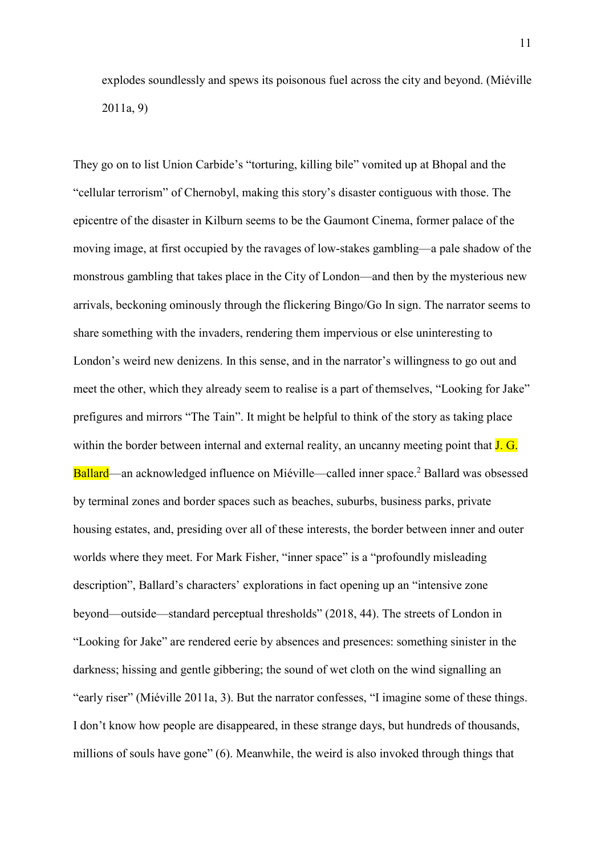explodes soundlessly and spews its poisonous fuel across the city and beyond. (Miéville 2011a, 9)

 They go on to list Union Carbide's "torturing, killing bile" vomited up at Bhopal and the "cellular terrorism" of Chernobyl, making this story's disaster contiguous with those. The epicentre of the disaster in Kilburn seems to be the Gaumont Cinema, former palace of the moving image, at first occupied by the ravages of low-stakes gambling—a pale shadow of the monstrous gambling that takes place in the City of London—and then by the mysterious new arrivals, beckoning ominously through the flickering Bingo/Go In sign. The narrator seems to share something with the invaders, rendering them impervious or else uninteresting to London's weird new denizens. In this sense, and in the narrator's willingness to go out and meet the other, which they already seem to realise is a part of themselves, "Looking for Jake" prefigures and mirrors "The Tain". It might be helpful to think of the story as taking place within the border between internal and external reality, an uncanny meeting point that J. G. Ballard—an acknowledged influence on Miéville—called inner space.<sup>2</sup> Ballard was obsessed by terminal zones and border spaces such as beaches, suburbs, business parks, private housing estates, and, presiding over all of these interests, the border between inner and outer worlds where they meet. For Mark Fisher, "inner space" is a "profoundly misleading description", Ballard's characters' explorations in fact opening up an "intensive zone beyond—outside—standard perceptual thresholds" (2018, 44). The streets of London in "Looking for Jake" are rendered eerie by absences and presences: something sinister in the darkness; hissing and gentle gibbering; the sound of wet cloth on the wind signalling an "early riser" (Miéville 2011a, 3). But the narrator confesses, "I imagine some of these things. I don't know how people are disappeared, in these strange days, but hundreds of thousands, millions of souls have gone" (6). Meanwhile, the weird is also invoked through things that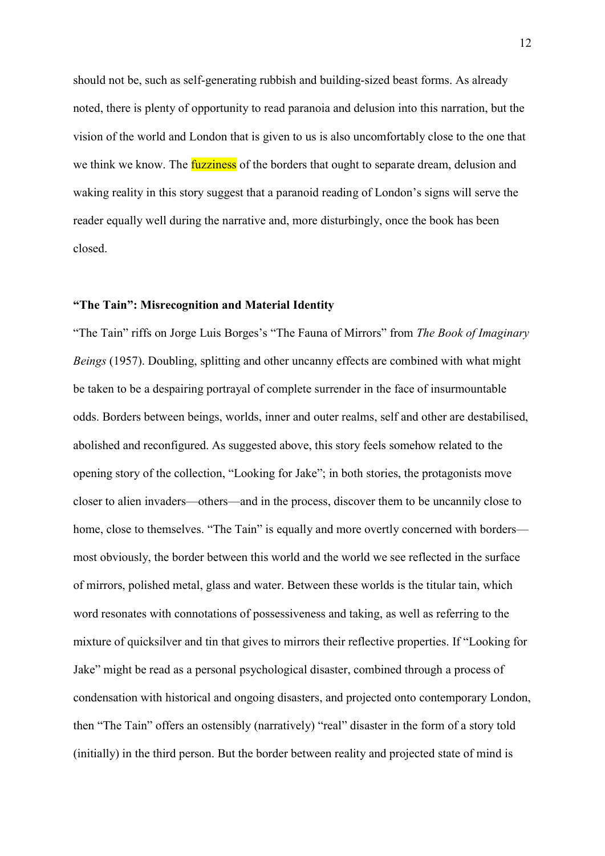should not be, such as self-generating rubbish and building-sized beast forms. As already noted, there is plenty of opportunity to read paranoia and delusion into this narration, but the vision of the world and London that is given to us is also uncomfortably close to the one that we think we know. The *fuzziness* of the borders that ought to separate dream, delusion and waking reality in this story suggest that a paranoid reading of London's signs will serve the reader equally well during the narrative and, more disturbingly, once the book has been closed.

#### "The Tain": Misrecognition and Material Identity

"The Tain" riffs on Jorge Luis Borges's "The Fauna of Mirrors" from The Book of Imaginary Beings (1957). Doubling, splitting and other uncanny effects are combined with what might be taken to be a despairing portrayal of complete surrender in the face of insurmountable odds. Borders between beings, worlds, inner and outer realms, self and other are destabilised, abolished and reconfigured. As suggested above, this story feels somehow related to the opening story of the collection, "Looking for Jake"; in both stories, the protagonists move closer to alien invaders—others—and in the process, discover them to be uncannily close to home, close to themselves. "The Tain" is equally and more overtly concerned with borders— most obviously, the border between this world and the world we see reflected in the surface of mirrors, polished metal, glass and water. Between these worlds is the titular tain, which word resonates with connotations of possessiveness and taking, as well as referring to the mixture of quicksilver and tin that gives to mirrors their reflective properties. If "Looking for Jake" might be read as a personal psychological disaster, combined through a process of condensation with historical and ongoing disasters, and projected onto contemporary London, then "The Tain" offers an ostensibly (narratively) "real" disaster in the form of a story told (initially) in the third person. But the border between reality and projected state of mind is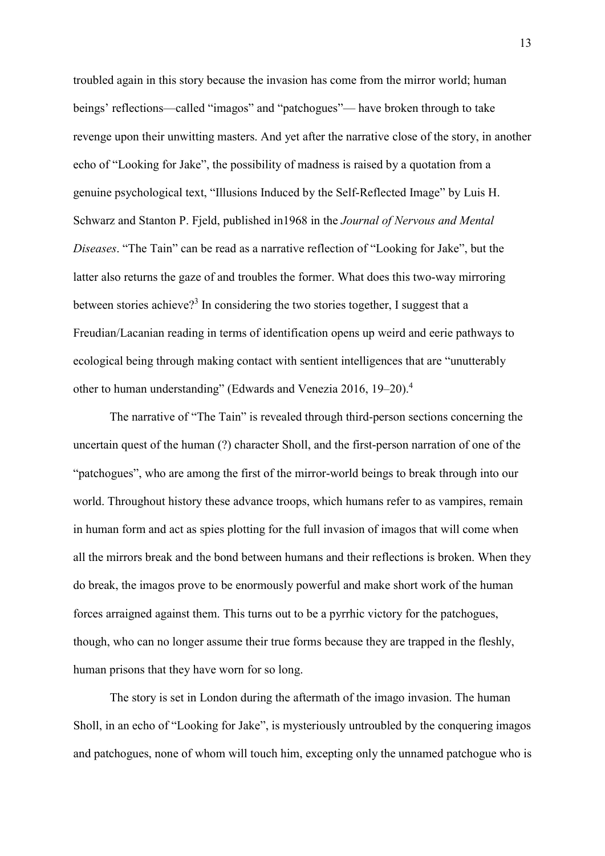troubled again in this story because the invasion has come from the mirror world; human beings' reflections—called "imagos" and "patchogues"— have broken through to take revenge upon their unwitting masters. And yet after the narrative close of the story, in another echo of "Looking for Jake", the possibility of madness is raised by a quotation from a genuine psychological text, "Illusions Induced by the Self-Reflected Image" by Luis H. Schwarz and Stanton P. Fjeld, published in1968 in the Journal of Nervous and Mental Diseases. "The Tain" can be read as a narrative reflection of "Looking for Jake", but the latter also returns the gaze of and troubles the former. What does this two-way mirroring between stories achieve?<sup>3</sup> In considering the two stories together, I suggest that a Freudian/Lacanian reading in terms of identification opens up weird and eerie pathways to ecological being through making contact with sentient intelligences that are "unutterably other to human understanding" (Edwards and Venezia 2016, 19-20).<sup>4</sup>

 The narrative of "The Tain" is revealed through third-person sections concerning the uncertain quest of the human (?) character Sholl, and the first-person narration of one of the "patchogues", who are among the first of the mirror-world beings to break through into our world. Throughout history these advance troops, which humans refer to as vampires, remain in human form and act as spies plotting for the full invasion of imagos that will come when all the mirrors break and the bond between humans and their reflections is broken. When they forces arraigned against them. This turns out to be a pyrrhic victory for the patchogues, though, who can no longer assume their true forms because they are trapped in the fleshly, human prisons that they have worn for so long. do break, the imagos prove to be enormously powerful and make short work of the human

 The story is set in London during the aftermath of the imago invasion. The human Sholl, in an echo of "Looking for Jake", is mysteriously untroubled by the conquering imagos and patchogues, none of whom will touch him, excepting only the unnamed patchogue who is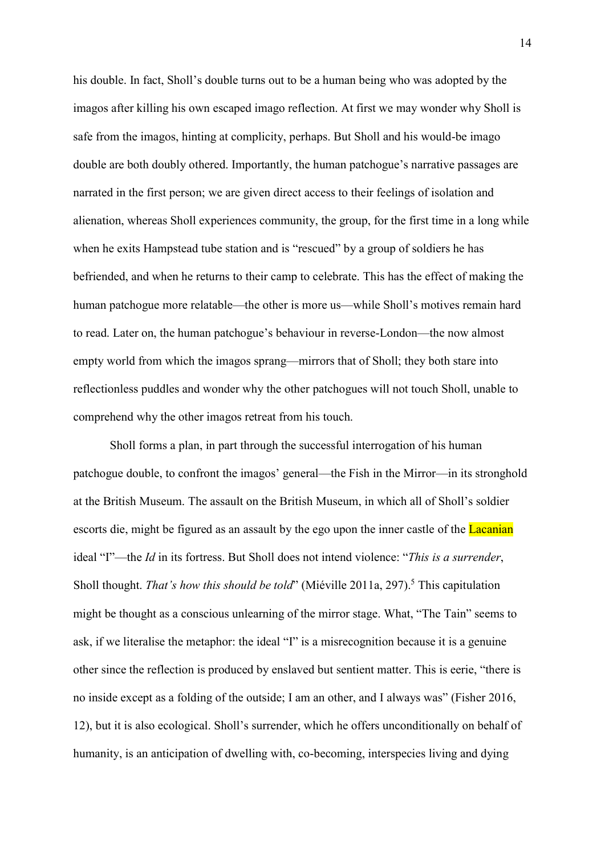his double. In fact, Sholl's double turns out to be a human being who was adopted by the imagos after killing his own escaped imago reflection. At first we may wonder why Sholl is safe from the imagos, hinting at complicity, perhaps. But Sholl and his would-be imago double are both doubly othered. Importantly, the human patchogue's narrative passages are narrated in the first person; we are given direct access to their feelings of isolation and alienation, whereas Sholl experiences community, the group, for the first time in a long while when he exits Hampstead tube station and is "rescued" by a group of soldiers he has befriended, and when he returns to their camp to celebrate. This has the effect of making the human patchogue more relatable—the other is more us—while Sholl's motives remain hard to read. Later on, the human patchogue's behaviour in reverse-London—the now almost empty world from which the imagos sprang—mirrors that of Sholl; they both stare into reflectionless puddles and wonder why the other patchogues will not touch Sholl, unable to comprehend why the other imagos retreat from his touch.

 patchogue double, to confront the imagos' general—the Fish in the Mirror—in its stronghold at the British Museum. The assault on the British Museum, in which all of Sholl's soldier escorts die, might be figured as an assault by the ego upon the inner castle of the Lacanian ideal "I"—the Id in its fortress. But Sholl does not intend violence: "This is a surrender, Sholl thought. *That's how this should be told*" (Miéville 2011a, 297).<sup>5</sup> This capitulation might be thought as a conscious unlearning of the mirror stage. What, "The Tain" seems to ask, if we literalise the metaphor: the ideal "I" is a misrecognition because it is a genuine other since the reflection is produced by enslaved but sentient matter. This is eerie, "there is no inside except as a folding of the outside; I am an other, and I always was" (Fisher 2016, 12), but it is also ecological. Sholl's surrender, which he offers unconditionally on behalf of humanity, is an anticipation of dwelling with, co-becoming, interspecies living and dyingSholl forms a plan, in part through the successful interrogation of his human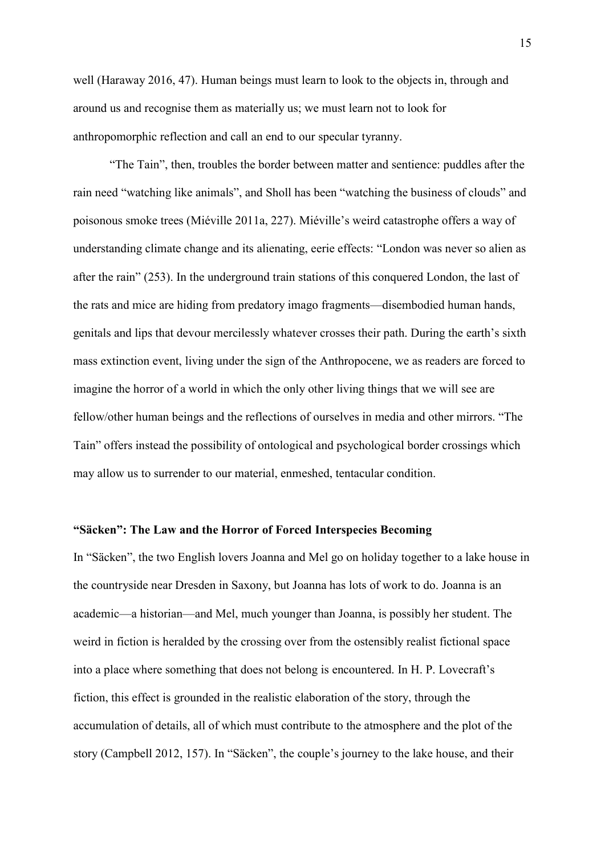well (Haraway 2016, 47). Human beings must learn to look to the objects in, through and around us and recognise them as materially us; we must learn not to look for anthropomorphic reflection and call an end to our specular tyranny.

 "The Tain", then, troubles the border between matter and sentience: puddles after the rain need "watching like animals", and Sholl has been "watching the business of clouds" and poisonous smoke trees (Miéville 2011a, 227). Miéville's weird catastrophe offers a way of understanding climate change and its alienating, eerie effects: "London was never so alien as after the rain" (253). In the underground train stations of this conquered London, the last of the rats and mice are hiding from predatory imago fragments—disembodied human hands, genitals and lips that devour mercilessly whatever crosses their path. During the earth's sixth mass extinction event, living under the sign of the Anthropocene, we as readers are forced to imagine the horror of a world in which the only other living things that we will see are fellow/other human beings and the reflections of ourselves in media and other mirrors. "The Tain" offers instead the possibility of ontological and psychological border crossings which may allow us to surrender to our material, enmeshed, tentacular condition.

#### "Säcken": The Law and the Horror of Forced Interspecies Becoming

 In "Säcken", the two English lovers Joanna and Mel go on holiday together to a lake house in the countryside near Dresden in Saxony, but Joanna has lots of work to do. Joanna is an academic—a historian—and Mel, much younger than Joanna, is possibly her student. The weird in fiction is heralded by the crossing over from the ostensibly realist fictional space into a place where something that does not belong is encountered. In H. P. Lovecraft's fiction, this effect is grounded in the realistic elaboration of the story, through the accumulation of details, all of which must contribute to the atmosphere and the plot of the story (Campbell 2012, 157). In "Säcken", the couple's journey to the lake house, and their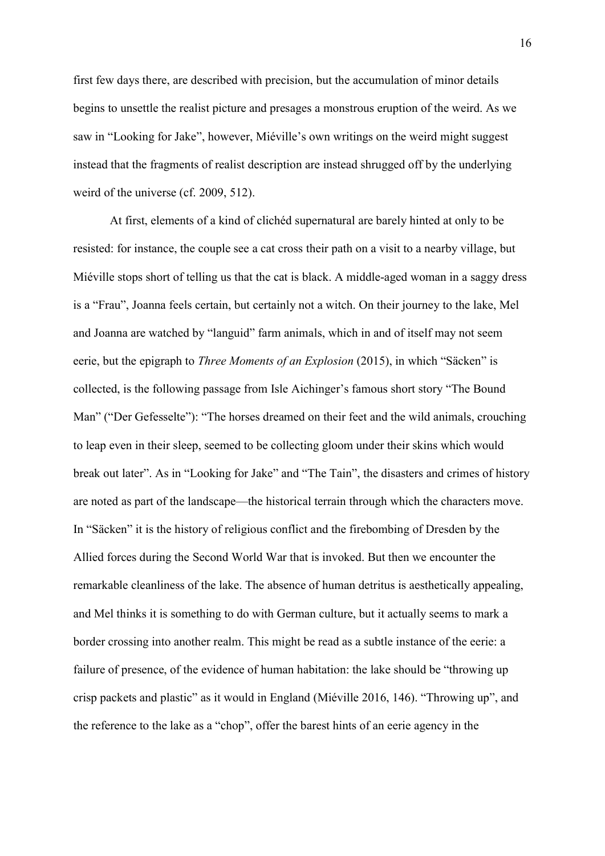first few days there, are described with precision, but the accumulation of minor details begins to unsettle the realist picture and presages a monstrous eruption of the weird. As we saw in "Looking for Jake", however, Miéville's own writings on the weird might suggest instead that the fragments of realist description are instead shrugged off by the underlying weird of the universe (cf. 2009, 512).

 At first, elements of a kind of clichéd supernatural are barely hinted at only to be resisted: for instance, the couple see a cat cross their path on a visit to a nearby village, but Miéville stops short of telling us that the cat is black. A middle-aged woman in a saggy dress is a "Frau", Joanna feels certain, but certainly not a witch. On their journey to the lake, Mel and Joanna are watched by "languid" farm animals, which in and of itself may not seem eerie, but the epigraph to *Three Moments of an Explosion* (2015), in which "Säcken" is collected, is the following passage from Isle Aichinger's famous short story "The Bound Man" ("Der Gefesselte"): "The horses dreamed on their feet and the wild animals, crouching to leap even in their sleep, seemed to be collecting gloom under their skins which would break out later". As in "Looking for Jake" and "The Tain", the disasters and crimes of history are noted as part of the landscape—the historical terrain through which the characters move. In "Säcken" it is the history of religious conflict and the firebombing of Dresden by the Allied forces during the Second World War that is invoked. But then we encounter the remarkable cleanliness of the lake. The absence of human detritus is aesthetically appealing, and Mel thinks it is something to do with German culture, but it actually seems to mark a border crossing into another realm. This might be read as a subtle instance of the eerie: a failure of presence, of the evidence of human habitation: the lake should be "throwing up crisp packets and plastic" as it would in England (Miéville 2016, 146). "Throwing up", and the reference to the lake as a "chop", offer the barest hints of an eerie agency in the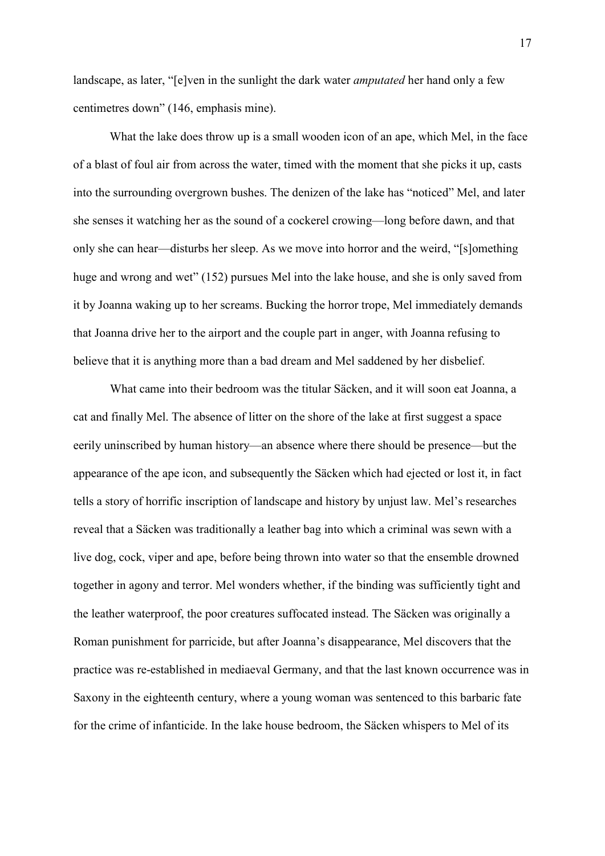landscape, as later, "[e]ven in the sunlight the dark water *amputated* her hand only a few centimetres down" (146, emphasis mine).

 What the lake does throw up is a small wooden icon of an ape, which Mel, in the face of a blast of foul air from across the water, timed with the moment that she picks it up, casts into the surrounding overgrown bushes. The denizen of the lake has "noticed" Mel, and later she senses it watching her as the sound of a cockerel crowing—long before dawn, and that only she can hear—disturbs her sleep. As we move into horror and the weird, "[s]omething huge and wrong and wet" (152) pursues Mel into the lake house, and she is only saved from it by Joanna waking up to her screams. Bucking the horror trope, Mel immediately demands that Joanna drive her to the airport and the couple part in anger, with Joanna refusing to believe that it is anything more than a bad dream and Mel saddened by her disbelief.

 What came into their bedroom was the titular Säcken, and it will soon eat Joanna, a cat and finally Mel. The absence of litter on the shore of the lake at first suggest a space eerily uninscribed by human history—an absence where there should be presence—but the appearance of the ape icon, and subsequently the Säcken which had ejected or lost it, in fact tells a story of horrific inscription of landscape and history by unjust law. Mel's researches reveal that a Säcken was traditionally a leather bag into which a criminal was sewn with a live dog, cock, viper and ape, before being thrown into water so that the ensemble drowned together in agony and terror. Mel wonders whether, if the binding was sufficiently tight and the leather waterproof, the poor creatures suffocated instead. The Säcken was originally a Roman punishment for parricide, but after Joanna's disappearance, Mel discovers that the practice was re-established in mediaeval Germany, and that the last known occurrence was in Saxony in the eighteenth century, where a young woman was sentenced to this barbaric fate for the crime of infanticide. In the lake house bedroom, the Säcken whispers to Mel of its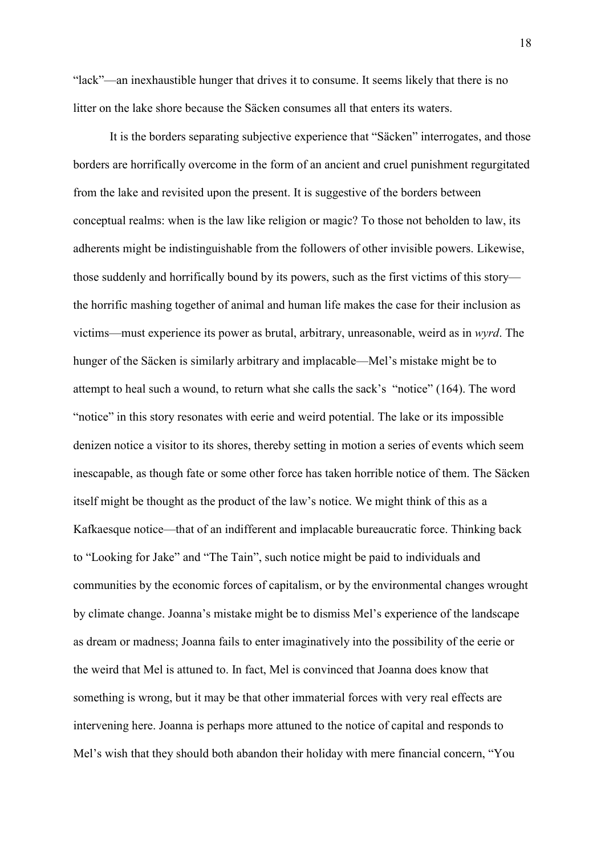"lack"—an inexhaustible hunger that drives it to consume. It seems likely that there is no litter on the lake shore because the Säcken consumes all that enters its waters.

 It is the borders separating subjective experience that "Säcken" interrogates, and those borders are horrifically overcome in the form of an ancient and cruel punishment regurgitated from the lake and revisited upon the present. It is suggestive of the borders between conceptual realms: when is the law like religion or magic? To those not beholden to law, its adherents might be indistinguishable from the followers of other invisible powers. Likewise, those suddenly and horrifically bound by its powers, such as the first victims of this story— the horrific mashing together of animal and human life makes the case for their inclusion as victims—must experience its power as brutal, arbitrary, unreasonable, weird as in wyrd. The hunger of the Säcken is similarly arbitrary and implacable—Mel's mistake might be to attempt to heal such a wound, to return what she calls the sack's "notice" (164). The word "notice" in this story resonates with eerie and weird potential. The lake or its impossible denizen notice a visitor to its shores, thereby setting in motion a series of events which seem inescapable, as though fate or some other force has taken horrible notice of them. The Säcken itself might be thought as the product of the law's notice. We might think of this as a Kafkaesque notice—that of an indifferent and implacable bureaucratic force. Thinking back to "Looking for Jake" and "The Tain", such notice might be paid to individuals and communities by the economic forces of capitalism, or by the environmental changes wrought by climate change. Joanna's mistake might be to dismiss Mel's experience of the landscape as dream or madness; Joanna fails to enter imaginatively into the possibility of the eerie or the weird that Mel is attuned to. In fact, Mel is convinced that Joanna does know that something is wrong, but it may be that other immaterial forces with very real effects are intervening here. Joanna is perhaps more attuned to the notice of capital and responds to Mel's wish that they should both abandon their holiday with mere financial concern, "You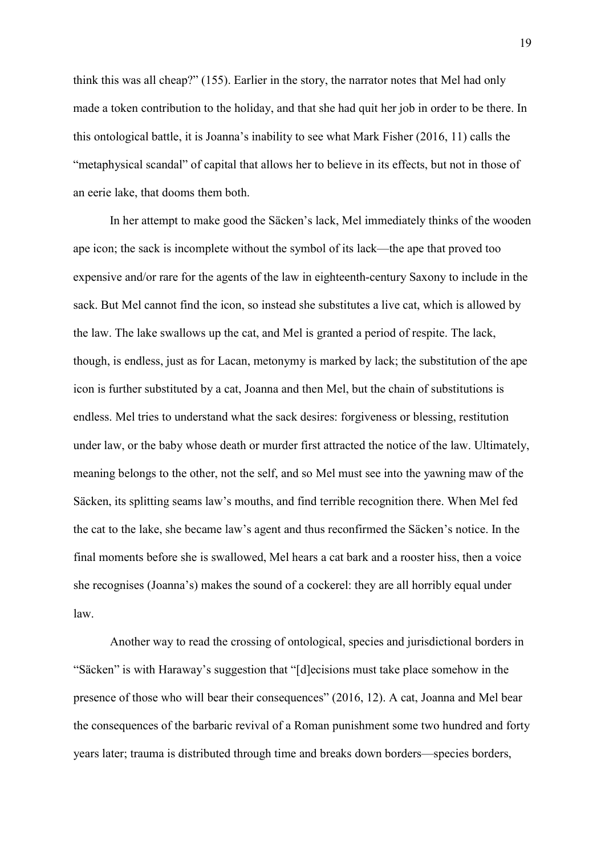think this was all cheap?" (155). Earlier in the story, the narrator notes that Mel had only made a token contribution to the holiday, and that she had quit her job in order to be there. In this ontological battle, it is Joanna's inability to see what Mark Fisher (2016, 11) calls the "metaphysical scandal" of capital that allows her to believe in its effects, but not in those of an eerie lake, that dooms them both.

 In her attempt to make good the Säcken's lack, Mel immediately thinks of the wooden ape icon; the sack is incomplete without the symbol of its lack—the ape that proved too expensive and/or rare for the agents of the law in eighteenth-century Saxony to include in the sack. But Mel cannot find the icon, so instead she substitutes a live cat, which is allowed by the law. The lake swallows up the cat, and Mel is granted a period of respite. The lack, though, is endless, just as for Lacan, metonymy is marked by lack; the substitution of the ape icon is further substituted by a cat, Joanna and then Mel, but the chain of substitutions is endless. Mel tries to understand what the sack desires: forgiveness or blessing, restitution under law, or the baby whose death or murder first attracted the notice of the law. Ultimately, meaning belongs to the other, not the self, and so Mel must see into the yawning maw of the Säcken, its splitting seams law's mouths, and find terrible recognition there. When Mel fed the cat to the lake, she became law's agent and thus reconfirmed the Säcken's notice. In the final moments before she is swallowed, Mel hears a cat bark and a rooster hiss, then a voice she recognises (Joanna's) makes the sound of a cockerel: they are all horribly equal under law.

 Another way to read the crossing of ontological, species and jurisdictional borders in "Säcken" is with Haraway's suggestion that "[d]ecisions must take place somehow in the presence of those who will bear their consequences" (2016, 12). A cat, Joanna and Mel bear the consequences of the barbaric revival of a Roman punishment some two hundred and forty years later; trauma is distributed through time and breaks down borders—species borders,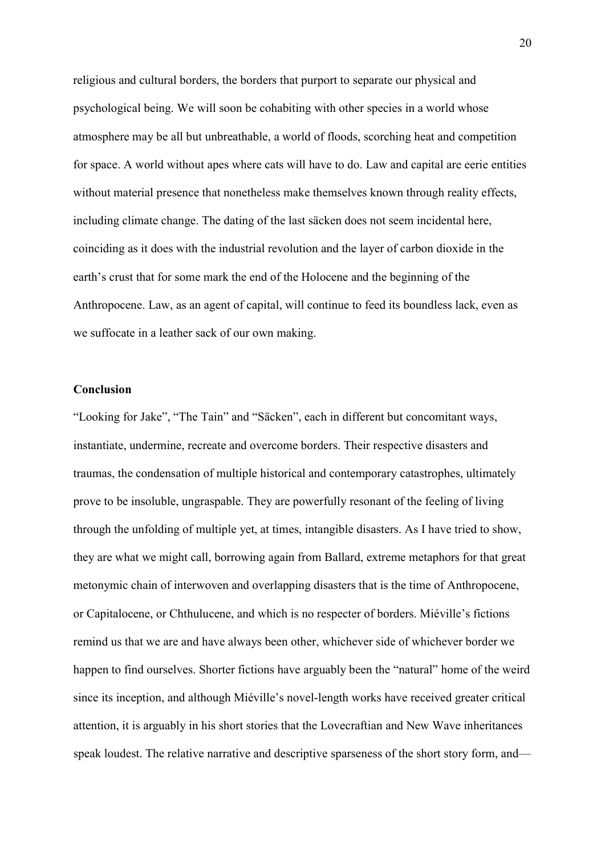religious and cultural borders, the borders that purport to separate our physical and psychological being. We will soon be cohabiting with other species in a world whose atmosphere may be all but unbreathable, a world of floods, scorching heat and competition for space. A world without apes where cats will have to do. Law and capital are eerie entities without material presence that nonetheless make themselves known through reality effects, including climate change. The dating of the last säcken does not seem incidental here, coinciding as it does with the industrial revolution and the layer of carbon dioxide in the earth's crust that for some mark the end of the Holocene and the beginning of the Anthropocene. Law, as an agent of capital, will continue to feed its boundless lack, even as we suffocate in a leather sack of our own making.

#### Conclusion

 "Looking for Jake", "The Tain" and "Säcken", each in different but concomitant ways, instantiate, undermine, recreate and overcome borders. Their respective disasters and traumas, the condensation of multiple historical and contemporary catastrophes, ultimately prove to be insoluble, ungraspable. They are powerfully resonant of the feeling of living through the unfolding of multiple yet, at times, intangible disasters. As I have tried to show, they are what we might call, borrowing again from Ballard, extreme metaphors for that great metonymic chain of interwoven and overlapping disasters that is the time of Anthropocene, or Capitalocene, or Chthulucene, and which is no respecter of borders. Miéville's fictions remind us that we are and have always been other, whichever side of whichever border we happen to find ourselves. Shorter fictions have arguably been the "natural" home of the weird since its inception, and although Miéville's novel-length works have received greater critical attention, it is arguably in his short stories that the Lovecraftian and New Wave inheritances speak loudest. The relative narrative and descriptive sparseness of the short story form, and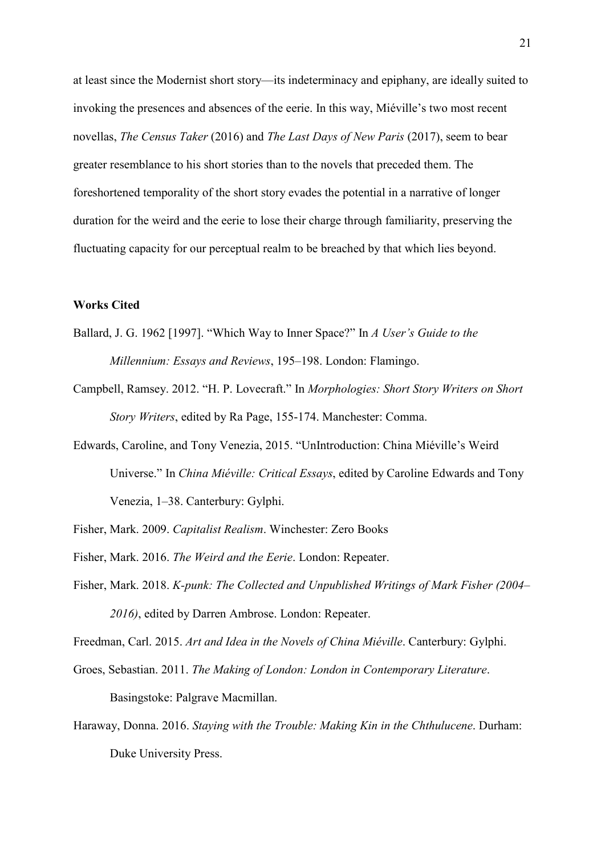at least since the Modernist short story—its indeterminacy and epiphany, are ideally suited to invoking the presences and absences of the eerie. In this way, Miéville's two most recent novellas, The Census Taker (2016) and The Last Days of New Paris (2017), seem to bear greater resemblance to his short stories than to the novels that preceded them. The foreshortened temporality of the short story evades the potential in a narrative of longer duration for the weird and the eerie to lose their charge through familiarity, preserving the fluctuating capacity for our perceptual realm to be breached by that which lies beyond.

#### Works Cited

- Ballard, J. G. 1962 [1997]. "Which Way to Inner Space?" In A User's Guide to the Millennium: Essays and Reviews, 195–198. London: Flamingo.
- Campbell, Ramsey. 2012. "H. P. Lovecraft." In Morphologies: Short Story Writers on Short Story Writers, edited by Ra Page, 155-174. Manchester: Comma.
- Edwards, Caroline, and Tony Venezia, 2015. "UnIntroduction: China Miéville's Weird Universe." In China Miéville: Critical Essays, edited by Caroline Edwards and Tony Venezia, 1–38. Canterbury: Gylphi.
- Fisher, Mark. 2009. Capitalist Realism. Winchester: Zero Books
- Fisher, Mark. 2016. The Weird and the Eerie. London: Repeater.
- Fisher, Mark. 2018. K-punk: The Collected and Unpublished Writings of Mark Fisher (2004– 2016), edited by Darren Ambrose. London: Repeater.
- Freedman, Carl. 2015. Art and Idea in the Novels of China Miéville. Canterbury: Gylphi.
- Groes, Sebastian. 2011. The Making of London: London in Contemporary Literature.

Basingstoke: Palgrave Macmillan.

Haraway, Donna. 2016. Staying with the Trouble: Making Kin in the Chthulucene. Durham: Duke University Press.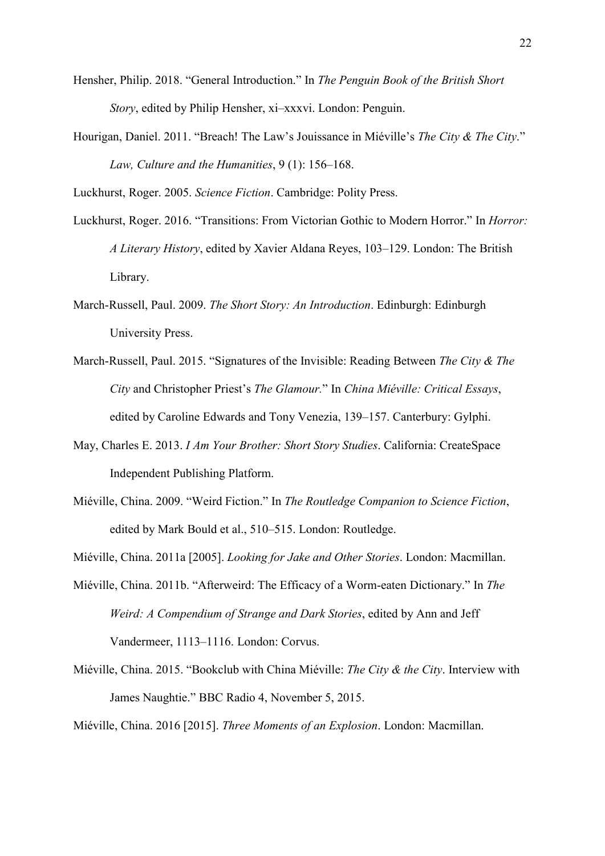- Hensher, Philip. 2018. "General Introduction." In The Penguin Book of the British Short Story, edited by Philip Hensher, xi-xxxvi. London: Penguin.
- Hourigan, Daniel. 2011. "Breach! The Law's Jouissance in Miéville's The City & The City." Law, Culture and the Humanities, 9 (1): 156–168.

Luckhurst, Roger. 2005. Science Fiction. Cambridge: Polity Press.

- Luckhurst, Roger. 2016. "Transitions: From Victorian Gothic to Modern Horror." In *Horror*: A Literary History, edited by Xavier Aldana Reyes, 103-129. London: The British Library.
- March-Russell, Paul. 2009. The Short Story: An Introduction. Edinburgh: Edinburgh University Press.
- March-Russell, Paul. 2015. "Signatures of the Invisible: Reading Between The City & The City and Christopher Priest's The Glamour." In China Miéville: Critical Essays, edited by Caroline Edwards and Tony Venezia, 139–157. Canterbury: Gylphi.
- May, Charles E. 2013. I Am Your Brother: Short Story Studies. California: CreateSpace Independent Publishing Platform.
- Miéville, China. 2009. "Weird Fiction." In The Routledge Companion to Science Fiction, edited by Mark Bould et al., 510–515. London: Routledge.

Miéville, China. 2011a [2005]. Looking for Jake and Other Stories. London: Macmillan.

- Miéville, China. 2011b. "Afterweird: The Efficacy of a Worm-eaten Dictionary." In The Weird: A Compendium of Strange and Dark Stories, edited by Ann and Jeff Vandermeer, 1113–1116. London: Corvus.
- Miéville, China. 2015. "Bookclub with China Miéville: *The City & the City*. Interview with James Naughtie." BBC Radio 4, November 5, 2015.

Miéville, China. 2016 [2015]. Three Moments of an Explosion. London: Macmillan.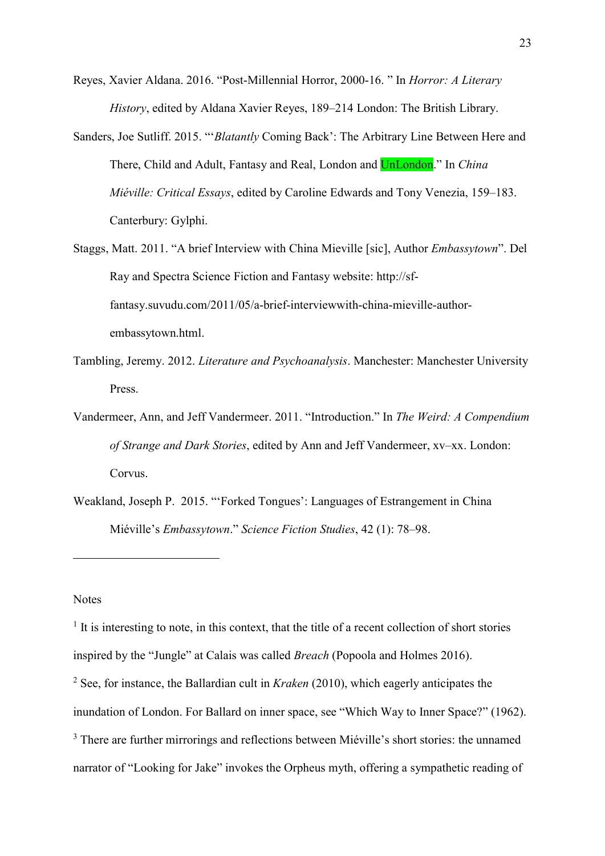- Reyes, Xavier Aldana. 2016. "Post-Millennial Horror, 2000-16. " In Horror: A Literary History, edited by Aldana Xavier Reyes, 189-214 London: The British Library.
- Sanders, Joe Sutliff. 2015. "'Blatantly Coming Back': The Arbitrary Line Between Here and There, Child and Adult, Fantasy and Real, London and <mark>UnLondon</mark>." In *China* Miéville: Critical Essays, edited by Caroline Edwards and Tony Venezia, 159-183. Canterbury: Gylphi.
- Staggs, Matt. 2011. "A brief Interview with China Mieville [sic], Author Embassytown". Del Ray and Spectra Science Fiction and Fantasy website: http://sf- embassytown.html. fantasy.suvudu.com/2011/05/a-brief-interviewwith-china-mieville-author-
- Tambling, Jeremy. 2012. Literature and Psychoanalysis. Manchester: Manchester University Press.
- Vandermeer, Ann, and Jeff Vandermeer. 2011. "Introduction." In The Weird: A Compendium of Strange and Dark Stories, edited by Ann and Jeff Vandermeer, xv–xx. London: Corvus.
- Weakland, Joseph P. 2015. "'Forked Tongues': Languages of Estrangement in China Miéville's Embassytown." Science Fiction Studies, 42 (1): 78–98.

### **Notes**

<u>.</u>

 $<sup>1</sup>$  It is interesting to note, in this context, that the title of a recent collection of short stories</sup> inspired by the "Jungle" at Calais was called Breach (Popoola and Holmes 2016). <sup>2</sup> See, for instance, the Ballardian cult in *Kraken* (2010), which eagerly anticipates the inundation of London. For Ballard on inner space, see "Which Way to Inner Space?" (1962).  $3$  There are further mirrorings and reflections between Miéville's short stories: the unnamed narrator of "Looking for Jake" invokes the Orpheus myth, offering a sympathetic reading of